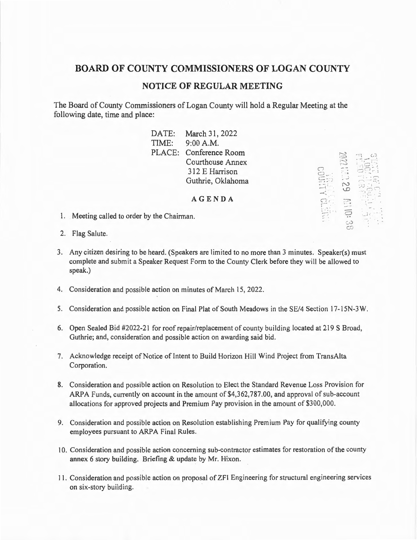# **BOARD OF COUNTY COMMISSIONERS OF LOGAN COUNTY**

### **NOTICE OF REGULAR MEETING**

The Board of County Commissioners of Logan County will hold a Regular Meeting at the following date, time and place:

> DATE: March 31, 2022 TIME: 9:00 AM. PLACE: Conference Room Courthouse Annex 312 E Harrison Guthrie, Oklahoma

> > **AGENDA**

 $\Xi_{\mathbb{C}}^{\mathbb{Z}}$  $\overline{\phantom{a}}$  .  $\mathbb{C}$  ,

 $\bigcirc$  )

- 1. Meeting called to order by the Chairman.
- 2. Flag Salute.
- 3. Any citizen desiring to be heard. (Speakers are limited to no more than 3 minutes. Speaker(s) must complete and submit a Speaker Request Form to the County Clerk before they will be allowed to speak.)
- 4. Consideration and possible action on minutes of March 15, 2022.
- 5. Consideration and possible action on Final Plat of South Meadows in the SE/4 Section 17-15N-3 W.
- 6. Open Sealed Bid #2022-21 for roof repair/replacement of county building located at 219 S Broad, Guthrie; and, consideration and possible action on awarding said bid.
- 7. Acknowledge receipt of Notice of Intent to Build Horizon Hill Wind Project from TransAlta Corporation.
- 8. Consideration and possible action on Resolution to Elect the Standard Revenue Loss Provision for ARPA Funds, currently on account in the amount of \$4,362,787.00, and approval of sub-account allocations for approved projects and Premium Pay provision in the amount of \$300,000.
- 9. Consideration and possible action on Resolution establishing Premium Pay for qualifying county employees pursuant to ARPA Final Rules.
- 10. Consideration and possible action concerning sub-contractor estimates for restoration of the county annex 6 story building. Briefing & update by Mr. Hixon.
- 1 1. Consideration and possible action on proposal of ZFI Engineering for structural engineering services on six-story building.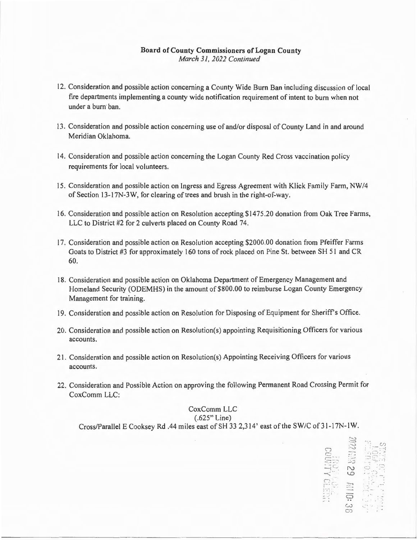### **Board of County Commissioners of Logan County**  *March 31, 2022 Continued*

- 12. Consideration and possible action concerning a County Wide Burn Ban including discussion of local fire departments implementing a county wide notification requirement of intent to burn when not under a burn ban.
- 13 . Consideration and possible action concerning use of and/or disposal of County Land in and around Meridian Oklahoma.
- 14. Consideration and possible action concerning the Logan County Red Cross vaccination policy requirements for local volunteers.
- 15. Consideration and possible action on Ingress and Egress Agreement with Klick Family Farm, NW /4 of Section 13-17N-3W, for clearing of trees and brush in the right-of-way.
- 16. Consideration and possible action on Resolution accepting \$1475.20 donation from Oak Tree Farms, LLC to District #2 for 2 culverts placed on County Road 74.
- I 7. Consideration and possible action on Resolution accepting \$2000.00 donation from Pfeiffer Farms Goats to District #3 for approximately 160 tons of rock placed on Pine St. between SH 5 1 and CR 60.
- 18. Consideration and possible action on Oklahoma Department of Emergency Management and Homeland Security (ODEMHS) in the amount of \$800.00 to reimburse Logan County Emergency Management for training.
- 19. Consideration and possible action on Resolution for Disposing of Equipment for Sheriff's Office.
- 20. Consideration and possible action on Resolution(s) appointing Requisitioning Officers for various accounts.
- 21 . Consideration and possible action on Resolution(s) Appointing Receiving Officers for various accounts.
- 22. Consideration and Possible Action on approving the following Permanent Road Crossing Permit for CoxComm LLC:

## CoxComm LLC (.625" Line) Cross/Parallel E Cooksey Rd .44 miles east of SH 33 2,314' east of the SW/C of 31-17N-1W.

(.1")

....... ··-. ··'.

 $S_{\ldots}$  and  $\sim$ 

 $\overline{\mathcal{C}}$  ...  $-5.5$ 

 $\mathbb{I} \mathbb{Z}$ i